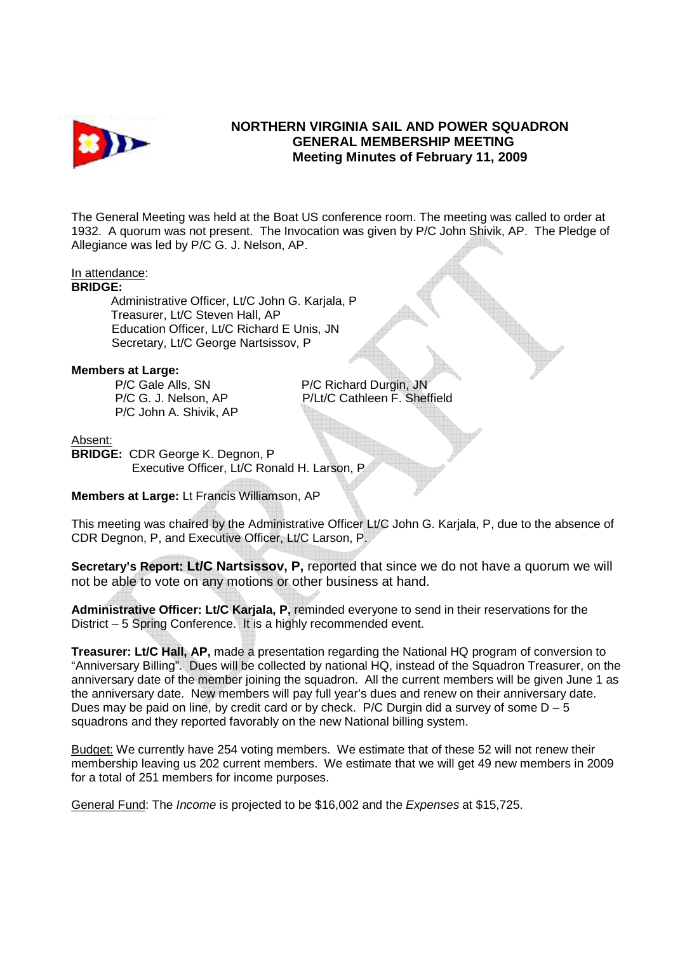

# **NORTHERN VIRGINIA SAIL AND POWER SQUADRON GENERAL MEMBERSHIP MEETING Meeting Minutes of February 11, 2009**

The General Meeting was held at the Boat US conference room. The meeting was called to order at 1932. A quorum was not present. The Invocation was given by P/C John Shivik, AP. The Pledge of Allegiance was led by P/C G. J. Nelson, AP.

## In attendance:

#### **BRIDGE:**

 Administrative Officer, Lt/C John G. Karjala, P Treasurer, Lt/C Steven Hall, AP Education Officer, Lt/C Richard E Unis, JN Secretary, Lt/C George Nartsissov, P

### **Members at Large:**

P/C John A. Shivik, AP

**P/C Gale Alls, SN P/C Richard Durgin, JN** P/C G. J. Nelson, AP P/Lt/C Cathleen F. Sheffield

#### Absent:

**BRIDGE:** CDR George K. Degnon, P Executive Officer, Lt/C Ronald H. Larson, P

**Members at Large:** Lt Francis Williamson, AP

This meeting was chaired by the Administrative Officer Lt/C John G. Karjala, P, due to the absence of CDR Degnon, P, and Executive Officer, Lt/C Larson, P.

**Secretary's Report: Lt/C Nartsissov, P,** reported that since we do not have a quorum we will not be able to vote on any motions or other business at hand.

**Administrative Officer: Lt/C Karjala, P,** reminded everyone to send in their reservations for the District – 5 Spring Conference. It is a highly recommended event.

**Treasurer: Lt/C Hall, AP,** made a presentation regarding the National HQ program of conversion to "Anniversary Billing". Dues will be collected by national HQ, instead of the Squadron Treasurer, on the anniversary date of the member joining the squadron. All the current members will be given June 1 as the anniversary date. New members will pay full year's dues and renew on their anniversary date. Dues may be paid on line, by credit card or by check. P/C Durgin did a survey of some  $D - 5$ squadrons and they reported favorably on the new National billing system.

Budget: We currently have 254 voting members. We estimate that of these 52 will not renew their membership leaving us 202 current members. We estimate that we will get 49 new members in 2009 for a total of 251 members for income purposes.

General Fund: The Income is projected to be \$16,002 and the Expenses at \$15,725.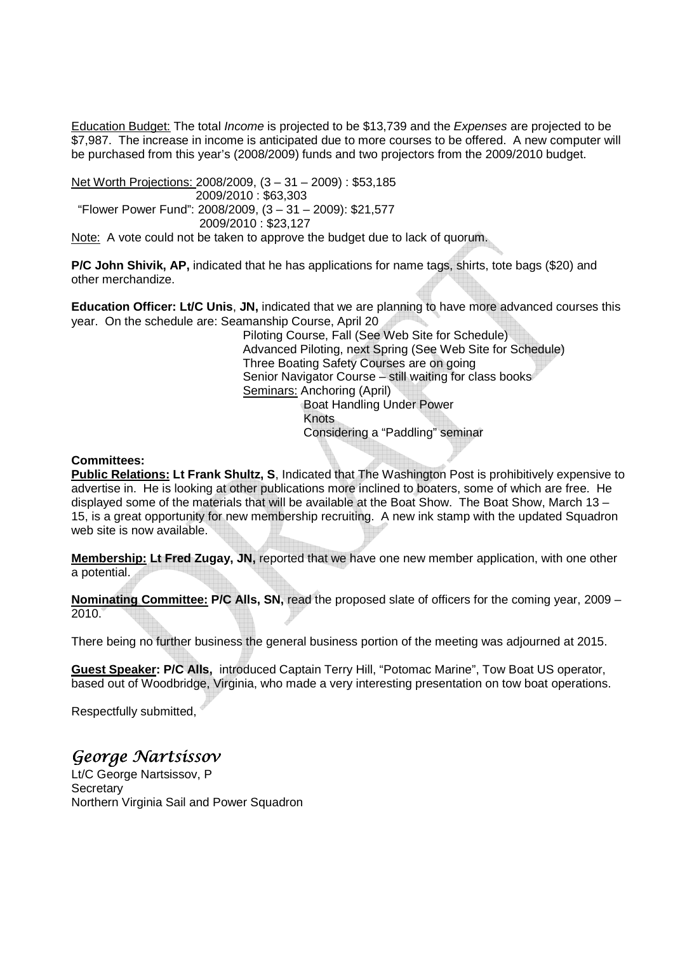Education Budget: The total *Income* is projected to be \$13,739 and the Expenses are projected to be \$7,987. The increase in income is anticipated due to more courses to be offered. A new computer will be purchased from this year's (2008/2009) funds and two projectors from the 2009/2010 budget.

Net Worth Projections: 2008/2009, (3 – 31 – 2009) : \$53,185 2009/2010 : \$63,303 "Flower Power Fund": 2008/2009, (3 – 31 – 2009): \$21,577 2009/2010 : \$23,127

Note: A vote could not be taken to approve the budget due to lack of quorum.

**P/C John Shivik, AP,** indicated that he has applications for name tags, shirts, tote bags (\$20) and other merchandize.

**Education Officer: Lt/C Unis**, **JN,** indicated that we are planning to have more advanced courses this year. On the schedule are: Seamanship Course, April 20

 Piloting Course, Fall (See Web Site for Schedule) Advanced Piloting, next Spring (See Web Site for Schedule) Three Boating Safety Courses are on going Senior Navigator Course – still waiting for class books Seminars: Anchoring (April) Boat Handling Under Power Knots Considering a "Paddling" seminar

**Committees:** 

**Public Relations: Lt Frank Shultz, S**, Indicated that The Washington Post is prohibitively expensive to advertise in. He is looking at other publications more inclined to boaters, some of which are free. He displayed some of the materials that will be available at the Boat Show. The Boat Show, March 13 – 15, is a great opportunity for new membership recruiting. A new ink stamp with the updated Squadron web site is now available.

**Membership: Lt Fred Zugay, JN,** reported that we have one new member application, with one other a potential.

**Nominating Committee: P/C Alls, SN,** read the proposed slate of officers for the coming year, 2009 – 2010.

There being no further business the general business portion of the meeting was adjourned at 2015.

**Guest Speaker: P/C Alls,** introduced Captain Terry Hill, "Potomac Marine", Tow Boat US operator, based out of Woodbridge, Virginia, who made a very interesting presentation on tow boat operations.

Respectfully submitted,

George Nartsissov

Lt/C George Nartsissov, P **Secretary** Northern Virginia Sail and Power Squadron